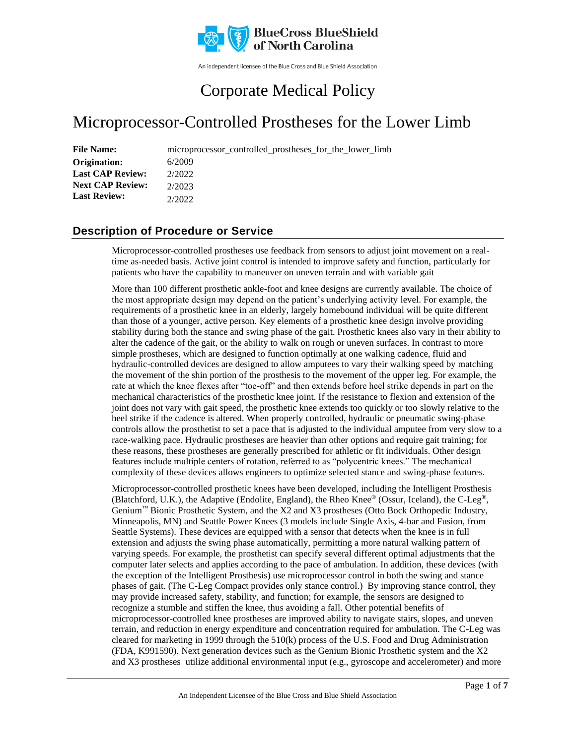

An independent licensee of the Blue Cross and Blue Shield Association

# Corporate Medical Policy

# Microprocessor-Controlled Prostheses for the Lower Limb

**File Name:** microprocessor\_controlled\_prostheses\_for\_the\_lower\_limb 6/2009 2/2022 2/2023 2/2022 **Origination: Last CAP Review: Next CAP Review: Last Review:**

### **Description of Procedure or Service**

Microprocessor-controlled prostheses use feedback from sensors to adjust joint movement on a realtime as-needed basis. Active joint control is intended to improve safety and function, particularly for patients who have the capability to maneuver on uneven terrain and with variable gait

More than 100 different prosthetic ankle-foot and knee designs are currently available. The choice of the most appropriate design may depend on the patient's underlying activity level. For example, the requirements of a prosthetic knee in an elderly, largely homebound individual will be quite different than those of a younger, active person. Key elements of a prosthetic knee design involve providing stability during both the stance and swing phase of the gait. Prosthetic knees also vary in their ability to alter the cadence of the gait, or the ability to walk on rough or uneven surfaces. In contrast to more simple prostheses, which are designed to function optimally at one walking cadence, fluid and hydraulic-controlled devices are designed to allow amputees to vary their walking speed by matching the movement of the shin portion of the prosthesis to the movement of the upper leg. For example, the rate at which the knee flexes after "toe-off" and then extends before heel strike depends in part on the mechanical characteristics of the prosthetic knee joint. If the resistance to flexion and extension of the joint does not vary with gait speed, the prosthetic knee extends too quickly or too slowly relative to the heel strike if the cadence is altered. When properly controlled, hydraulic or pneumatic swing-phase controls allow the prosthetist to set a pace that is adjusted to the individual amputee from very slow to a race-walking pace. Hydraulic prostheses are heavier than other options and require gait training; for these reasons, these prostheses are generally prescribed for athletic or fit individuals. Other design features include multiple centers of rotation, referred to as "polycentric knees." The mechanical complexity of these devices allows engineers to optimize selected stance and swing-phase features.

Microprocessor-controlled prosthetic knees have been developed, including the Intelligent Prosthesis (Blatchford, U.K.), the Adaptive (Endolite, England), the Rheo Knee® (Ossur, Iceland), the C-Leg®, Genium™ Bionic Prosthetic System, and the X2 and X3 prostheses (Otto Bock Orthopedic Industry, Minneapolis, MN) and Seattle Power Knees (3 models include Single Axis, 4-bar and Fusion, from Seattle Systems). These devices are equipped with a sensor that detects when the knee is in full extension and adjusts the swing phase automatically, permitting a more natural walking pattern of varying speeds. For example, the prosthetist can specify several different optimal adjustments that the computer later selects and applies according to the pace of ambulation. In addition, these devices (with the exception of the Intelligent Prosthesis) use microprocessor control in both the swing and stance phases of gait. (The C-Leg Compact provides only stance control.) By improving stance control, they may provide increased safety, stability, and function; for example, the sensors are designed to recognize a stumble and stiffen the knee, thus avoiding a fall. Other potential benefits of microprocessor-controlled knee prostheses are improved ability to navigate stairs, slopes, and uneven terrain, and reduction in energy expenditure and concentration required for ambulation. The C-Leg was cleared for marketing in 1999 through the 510(k) process of the U.S. Food and Drug Administration (FDA, K991590). Next generation devices such as the Genium Bionic Prosthetic system and the X2 and X3 prostheses utilize additional environmental input (e.g., gyroscope and accelerometer) and more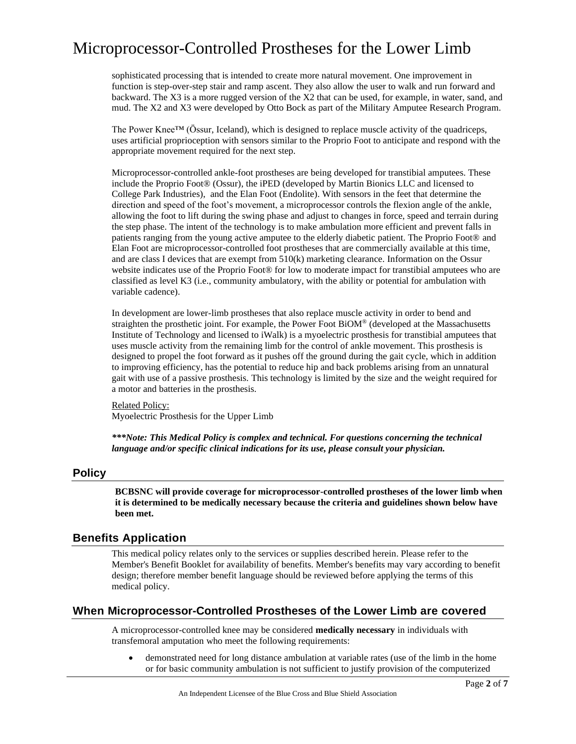sophisticated processing that is intended to create more natural movement. One improvement in function is step-over-step stair and ramp ascent. They also allow the user to walk and run forward and backward. The X3 is a more rugged version of the X2 that can be used, for example, in water, sand, and mud. The X2 and X3 were developed by Otto Bock as part of the Military Amputee Research Program.

The Power Knee™ (Össur, Iceland), which is designed to replace muscle activity of the quadriceps, uses artificial proprioception with sensors similar to the Proprio Foot to anticipate and respond with the appropriate movement required for the next step.

Microprocessor-controlled ankle-foot prostheses are being developed for transtibial amputees. These include the Proprio Foot® (Ossur), the iPED (developed by Martin Bionics LLC and licensed to College Park Industries), and the Elan Foot (Endolite). With sensors in the feet that determine the direction and speed of the foot's movement, a microprocessor controls the flexion angle of the ankle, allowing the foot to lift during the swing phase and adjust to changes in force, speed and terrain during the step phase. The intent of the technology is to make ambulation more efficient and prevent falls in patients ranging from the young active amputee to the elderly diabetic patient. The Proprio Foot® and Elan Foot are microprocessor-controlled foot prostheses that are commercially available at this time, and are class I devices that are exempt from 510(k) marketing clearance. Information on the Ossur website indicates use of the Proprio Foot<sup>®</sup> for low to moderate impact for transtibial amputees who are classified as level K3 (i.e., community ambulatory, with the ability or potential for ambulation with variable cadence).

In development are lower-limb prostheses that also replace muscle activity in order to bend and straighten the prosthetic joint. For example, the Power Foot BiOM® (developed at the Massachusetts Institute of Technology and licensed to iWalk) is a myoelectric prosthesis for transtibial amputees that uses muscle activity from the remaining limb for the control of ankle movement. This prosthesis is designed to propel the foot forward as it pushes off the ground during the gait cycle, which in addition to improving efficiency, has the potential to reduce hip and back problems arising from an unnatural gait with use of a passive prosthesis. This technology is limited by the size and the weight required for a motor and batteries in the prosthesis.

#### Related Policy:

Myoelectric Prosthesis for the Upper Limb

*\*\*\*Note: This Medical Policy is complex and technical. For questions concerning the technical language and/or specific clinical indications for its use, please consult your physician.*

#### **Policy**

**BCBSNC will provide coverage for microprocessor-controlled prostheses of the lower limb when it is determined to be medically necessary because the criteria and guidelines shown below have been met.**

#### **Benefits Application**

This medical policy relates only to the services or supplies described herein. Please refer to the Member's Benefit Booklet for availability of benefits. Member's benefits may vary according to benefit design; therefore member benefit language should be reviewed before applying the terms of this medical policy.

#### **When Microprocessor-Controlled Prostheses of the Lower Limb are covered**

A microprocessor-controlled knee may be considered **medically necessary** in individuals with transfemoral amputation who meet the following requirements:

• demonstrated need for long distance ambulation at variable rates (use of the limb in the home or for basic community ambulation is not sufficient to justify provision of the computerized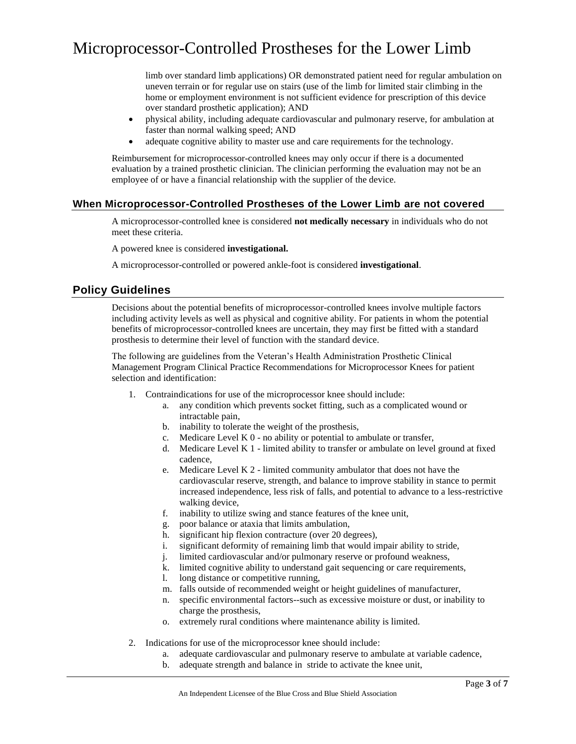limb over standard limb applications) OR demonstrated patient need for regular ambulation on uneven terrain or for regular use on stairs (use of the limb for limited stair climbing in the home or employment environment is not sufficient evidence for prescription of this device over standard prosthetic application); AND

- physical ability, including adequate cardiovascular and pulmonary reserve, for ambulation at faster than normal walking speed; AND
- adequate cognitive ability to master use and care requirements for the technology.

Reimbursement for microprocessor-controlled knees may only occur if there is a documented evaluation by a trained prosthetic clinician. The clinician performing the evaluation may not be an employee of or have a financial relationship with the supplier of the device.

#### **When Microprocessor-Controlled Prostheses of the Lower Limb are not covered**

A microprocessor-controlled knee is considered **not medically necessary** in individuals who do not meet these criteria.

A powered knee is considered **investigational.**

A microprocessor-controlled or powered ankle-foot is considered **investigational**.

#### **Policy Guidelines**

Decisions about the potential benefits of microprocessor-controlled knees involve multiple factors including activity levels as well as physical and cognitive ability. For patients in whom the potential benefits of microprocessor-controlled knees are uncertain, they may first be fitted with a standard prosthesis to determine their level of function with the standard device.

The following are guidelines from the Veteran's Health Administration Prosthetic Clinical Management Program Clinical Practice Recommendations for Microprocessor Knees for patient selection and identification:

- 1. Contraindications for use of the microprocessor knee should include:
	- a. any condition which prevents socket fitting, such as a complicated wound or intractable pain,
	- b. inability to tolerate the weight of the prosthesis,
	- c. Medicare Level K 0 no ability or potential to ambulate or transfer,
	- d. Medicare Level K 1 limited ability to transfer or ambulate on level ground at fixed cadence,
	- e. Medicare Level K 2 limited community ambulator that does not have the cardiovascular reserve, strength, and balance to improve stability in stance to permit increased independence, less risk of falls, and potential to advance to a less-restrictive walking device,
	- f. inability to utilize swing and stance features of the knee unit,
	- g. poor balance or ataxia that limits ambulation,
	- h. significant hip flexion contracture (over 20 degrees),
	- i. significant deformity of remaining limb that would impair ability to stride,
	- j. limited cardiovascular and/or pulmonary reserve or profound weakness,
	- k. limited cognitive ability to understand gait sequencing or care requirements,
	- l. long distance or competitive running,
	- m. falls outside of recommended weight or height guidelines of manufacturer,
	- n. specific environmental factors--such as excessive moisture or dust, or inability to charge the prosthesis,
	- o. extremely rural conditions where maintenance ability is limited.
- 2. Indications for use of the microprocessor knee should include:
	- a. adequate cardiovascular and pulmonary reserve to ambulate at variable cadence,
	- b. adequate strength and balance in stride to activate the knee unit,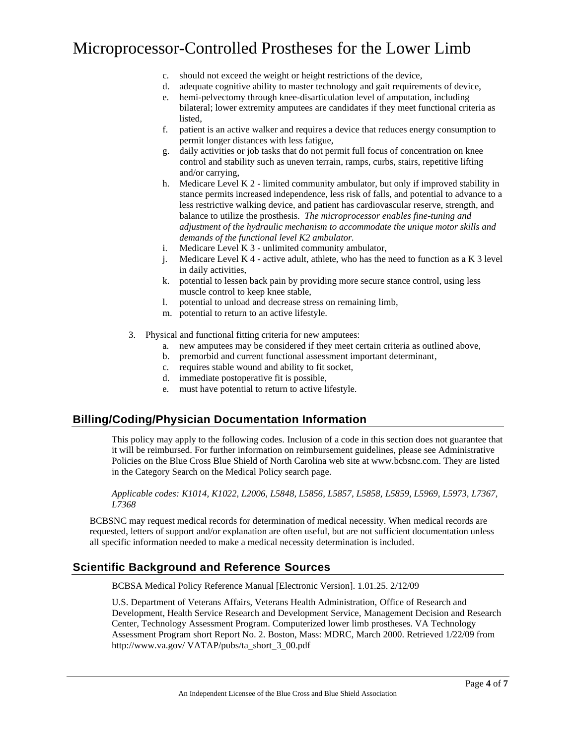- c. should not exceed the weight or height restrictions of the device,
- d. adequate cognitive ability to master technology and gait requirements of device,
- e. hemi-pelvectomy through knee-disarticulation level of amputation, including bilateral; lower extremity amputees are candidates if they meet functional criteria as listed,
- f. patient is an active walker and requires a device that reduces energy consumption to permit longer distances with less fatigue,
- g. daily activities or job tasks that do not permit full focus of concentration on knee control and stability such as uneven terrain, ramps, curbs, stairs, repetitive lifting and/or carrying,
- h. Medicare Level K 2 limited community ambulator, but only if improved stability in stance permits increased independence, less risk of falls, and potential to advance to a less restrictive walking device, and patient has cardiovascular reserve, strength, and balance to utilize the prosthesis. *The microprocessor enables fine-tuning and adjustment of the hydraulic mechanism to accommodate the unique motor skills and demands of the functional level K2 ambulator.*
- i. Medicare Level K 3 unlimited community ambulator,
- j. Medicare Level K 4 active adult, athlete, who has the need to function as a K 3 level in daily activities,
- k. potential to lessen back pain by providing more secure stance control, using less muscle control to keep knee stable,
- l. potential to unload and decrease stress on remaining limb,
- m. potential to return to an active lifestyle.
- 3. Physical and functional fitting criteria for new amputees:
	- a. new amputees may be considered if they meet certain criteria as outlined above,
	- b. premorbid and current functional assessment important determinant,
	- c. requires stable wound and ability to fit socket,
	- d. immediate postoperative fit is possible,
	- e. must have potential to return to active lifestyle.

### **Billing/Coding/Physician Documentation Information**

This policy may apply to the following codes. Inclusion of a code in this section does not guarantee that it will be reimbursed. For further information on reimbursement guidelines, please see Administrative Policies on the Blue Cross Blue Shield of North Carolina web site at www.bcbsnc.com. They are listed in the Category Search on the Medical Policy search page.

#### *Applicable codes: K1014, K1022, L2006, L5848, L5856, L5857, L5858, L5859, L5969, L5973, L7367, L7368*

BCBSNC may request medical records for determination of medical necessity. When medical records are requested, letters of support and/or explanation are often useful, but are not sufficient documentation unless all specific information needed to make a medical necessity determination is included.

### **Scientific Background and Reference Sources**

BCBSA Medical Policy Reference Manual [Electronic Version]. 1.01.25. 2/12/09

U.S. Department of Veterans Affairs, Veterans Health Administration, Office of Research and Development, Health Service Research and Development Service, Management Decision and Research Center, Technology Assessment Program. Computerized lower limb prostheses. VA Technology Assessment Program short Report No. 2. Boston, Mass: MDRC, March 2000. Retrieved 1/22/09 from http://www.va.gov/ VATAP/pubs/ta\_short\_3\_00.pdf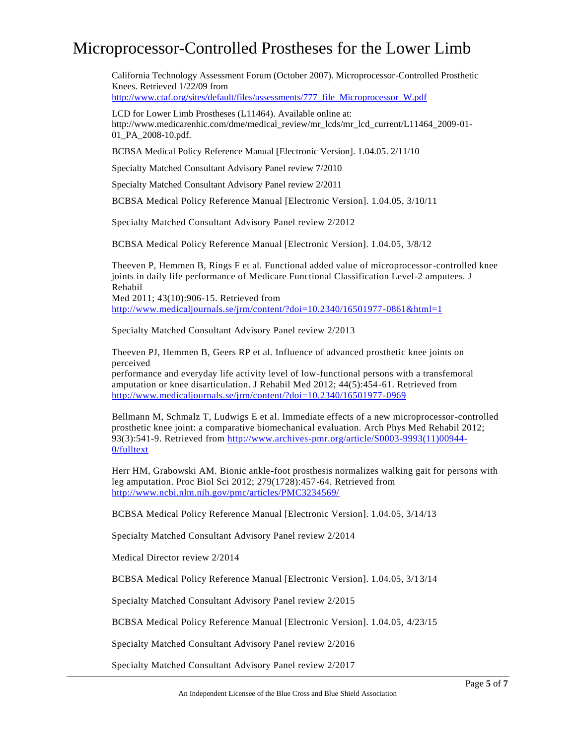California Technology Assessment Forum (October 2007). Microprocessor-Controlled Prosthetic Knees. Retrieved 1/22/09 from [http://www.ctaf.org/sites/default/files/assessments/777\\_file\\_Microprocessor\\_W.pdf](http://www.ctaf.org/sites/default/files/assessments/777_file_Microprocessor_W.pdf)

LCD for Lower Limb Prostheses (L11464). Available online at:

http://www.medicarenhic.com/dme/medical\_review/mr\_lcds/mr\_lcd\_current/L11464\_2009-01- 01\_PA\_2008-10.pdf.

BCBSA Medical Policy Reference Manual [Electronic Version]. 1.04.05. 2/11/10

Specialty Matched Consultant Advisory Panel review 7/2010

Specialty Matched Consultant Advisory Panel review 2/2011

BCBSA Medical Policy Reference Manual [Electronic Version]. 1.04.05, 3/10/11

Specialty Matched Consultant Advisory Panel review 2/2012

BCBSA Medical Policy Reference Manual [Electronic Version]. 1.04.05, 3/8/12

Theeven P, Hemmen B, Rings F et al. Functional added value of microprocessor-controlled knee joints in daily life performance of Medicare Functional Classification Level-2 amputees. J Rehabil

Med 2011; 43(10):906-15. Retrieved from <http://www.medicaljournals.se/jrm/content/?doi=10.2340/16501977-0861&html=1>

Specialty Matched Consultant Advisory Panel review 2/2013

Theeven PJ, Hemmen B, Geers RP et al. Influence of advanced prosthetic knee joints on perceived

performance and everyday life activity level of low-functional persons with a transfemoral amputation or knee disarticulation. J Rehabil Med 2012; 44(5):454-61. Retrieved from <http://www.medicaljournals.se/jrm/content/?doi=10.2340/16501977-0969>

Bellmann M, Schmalz T, Ludwigs E et al. Immediate effects of a new microprocessor-controlled prosthetic knee joint: a comparative biomechanical evaluation. Arch Phys Med Rehabil 2012; 93(3):541-9. Retrieved from [http://www.archives-pmr.org/article/S0003-9993\(11\)00944-](http://www.archives-pmr.org/article/S0003-9993(11)00944-0/fulltext) [0/fulltext](http://www.archives-pmr.org/article/S0003-9993(11)00944-0/fulltext)

Herr HM, Grabowski AM. Bionic ankle-foot prosthesis normalizes walking gait for persons with leg amputation. Proc Biol Sci 2012; 279(1728):457-64. Retrieved from <http://www.ncbi.nlm.nih.gov/pmc/articles/PMC3234569/>

BCBSA Medical Policy Reference Manual [Electronic Version]. 1.04.05, 3/14/13

Specialty Matched Consultant Advisory Panel review 2/2014

Medical Director review 2/2014

BCBSA Medical Policy Reference Manual [Electronic Version]. 1.04.05, 3/13/14

Specialty Matched Consultant Advisory Panel review 2/2015

BCBSA Medical Policy Reference Manual [Electronic Version]. 1.04.05, 4/23/15

Specialty Matched Consultant Advisory Panel review 2/2016

Specialty Matched Consultant Advisory Panel review 2/2017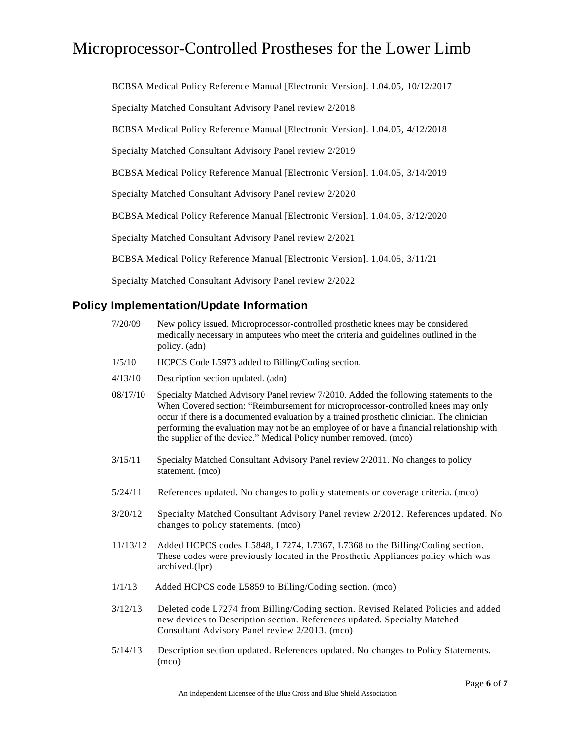BCBSA Medical Policy Reference Manual [Electronic Version]. 1.04.05, 10/12/2017

Specialty Matched Consultant Advisory Panel review 2/2018

BCBSA Medical Policy Reference Manual [Electronic Version]. 1.04.05, 4/12/2018

Specialty Matched Consultant Advisory Panel review 2/2019

BCBSA Medical Policy Reference Manual [Electronic Version]. 1.04.05, 3/14/2019

Specialty Matched Consultant Advisory Panel review 2/2020

BCBSA Medical Policy Reference Manual [Electronic Version]. 1.04.05, 3/12/2020

Specialty Matched Consultant Advisory Panel review 2/2021

BCBSA Medical Policy Reference Manual [Electronic Version]. 1.04.05, 3/11/21

Specialty Matched Consultant Advisory Panel review 2/2022

### **Policy Implementation/Update Information**

| 7/20/09  | New policy issued. Microprocessor-controlled prosthetic knees may be considered<br>medically necessary in amputees who meet the criteria and guidelines outlined in the<br>policy. (adn)                                                                                                                                                                                                                                                   |  |  |
|----------|--------------------------------------------------------------------------------------------------------------------------------------------------------------------------------------------------------------------------------------------------------------------------------------------------------------------------------------------------------------------------------------------------------------------------------------------|--|--|
| 1/5/10   | HCPCS Code L5973 added to Billing/Coding section.                                                                                                                                                                                                                                                                                                                                                                                          |  |  |
| 4/13/10  | Description section updated. (adn)                                                                                                                                                                                                                                                                                                                                                                                                         |  |  |
| 08/17/10 | Specialty Matched Advisory Panel review 7/2010. Added the following statements to the<br>When Covered section: "Reimbursement for microprocessor-controlled knees may only<br>occur if there is a documented evaluation by a trained prosthetic clinician. The clinician<br>performing the evaluation may not be an employee of or have a financial relationship with<br>the supplier of the device." Medical Policy number removed. (mco) |  |  |
| 3/15/11  | Specialty Matched Consultant Advisory Panel review 2/2011. No changes to policy<br>statement. (mco)                                                                                                                                                                                                                                                                                                                                        |  |  |
| 5/24/11  | References updated. No changes to policy statements or coverage criteria. (mco)                                                                                                                                                                                                                                                                                                                                                            |  |  |
| 3/20/12  | Specialty Matched Consultant Advisory Panel review 2/2012. References updated. No<br>changes to policy statements. (mco)                                                                                                                                                                                                                                                                                                                   |  |  |
| 11/13/12 | Added HCPCS codes L5848, L7274, L7367, L7368 to the Billing/Coding section.<br>These codes were previously located in the Prosthetic Appliances policy which was<br>archived.(lpr)                                                                                                                                                                                                                                                         |  |  |
| 1/1/13   | Added HCPCS code L5859 to Billing/Coding section. (mco)                                                                                                                                                                                                                                                                                                                                                                                    |  |  |
| 3/12/13  | Deleted code L7274 from Billing/Coding section. Revised Related Policies and added<br>new devices to Description section. References updated. Specialty Matched<br>Consultant Advisory Panel review 2/2013. (mco)                                                                                                                                                                                                                          |  |  |
|          |                                                                                                                                                                                                                                                                                                                                                                                                                                            |  |  |

5/14/13 Description section updated. References updated. No changes to Policy Statements. (mco)